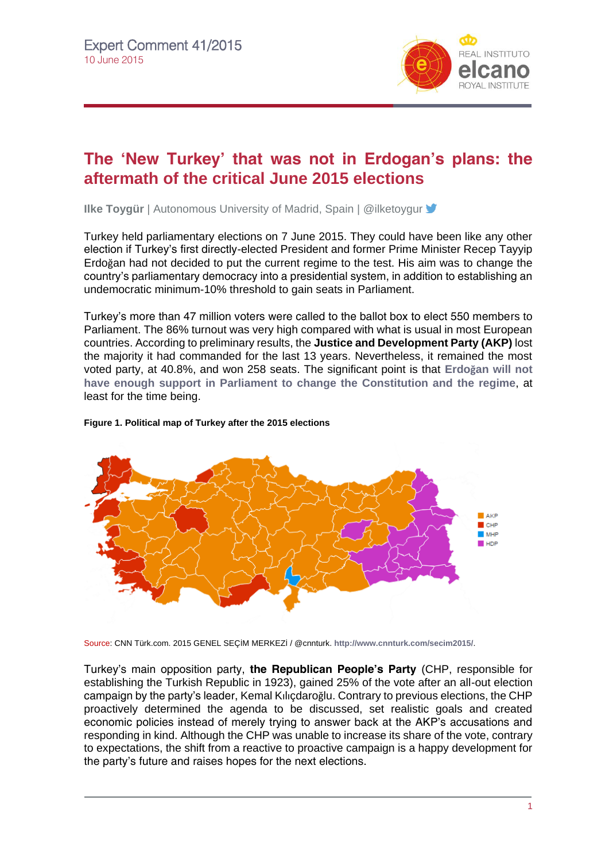

# **The 'New Turkey' that was not in Erdogan's plans: the aftermath of the critical June 2015 elections**

**Ilke Toygür** | Autonomous University of Madrid, Spain | @ilketoygur **Y** 

Turkey held parliamentary elections on 7 June 2015. They could have been like any other election if Turkey's first directly-elected President and former Prime Minister Recep Tayyip Erdoğan had not decided to put the current regime to the test. His aim was to change the country's parliamentary democracy into a presidential system, in addition to establishing an undemocratic minimum-10% threshold to gain seats in Parliament.

Turkey's more than 47 million voters were called to the ballot box to elect 550 members to Parliament. The 86% turnout was very high compared with what is usual in most European countries. According to preliminary results, the **Justice and Development Party (AKP)** lost the majority it had commanded for the last 13 years. Nevertheless, it remained the most voted party, at 40.8%, and won 258 seats. The significant point is that **Erdoğan [will not](http://www.realinstitutoelcano.org/wps/portal/web/rielcano_en/contenido?WCM_GLOBAL_CONTEXT=/elcano/elcano_in/zonas_in/commentary-chislett-turkeys-elections-akp-loses-absolute-majority-thwarts-erdogans-bid-for-executive-presidency#.VXgLN9Kqqko)  [have enough support in Parliament to change the Constitution and the regime](http://www.realinstitutoelcano.org/wps/portal/web/rielcano_en/contenido?WCM_GLOBAL_CONTEXT=/elcano/elcano_in/zonas_in/commentary-chislett-turkeys-elections-akp-loses-absolute-majority-thwarts-erdogans-bid-for-executive-presidency#.VXgLN9Kqqko)**, at least for the time being.

#### **Figure 1. Political map of Turkey after the 2015 elections**



Source: CNN Türk.com. 2015 GENEL SEÇİM MERKEZİ / @cnnturk. **<http://www.cnnturk.com/secim2015/>**.

Turkey's main opposition party, **the Republican People's Party** (CHP, responsible for establishing the Turkish Republic in 1923), gained 25% of the vote after an all-out election campaign by the party's leader, Kemal Kılıçdaroğlu. Contrary to previous elections, the CHP proactively determined the agenda to be discussed, set realistic goals and created economic policies instead of merely trying to answer back at the AKP's accusations and responding in kind. Although the CHP was unable to increase its share of the vote, contrary to expectations, the shift from a reactive to proactive campaign is a happy development for the party's future and raises hopes for the next elections.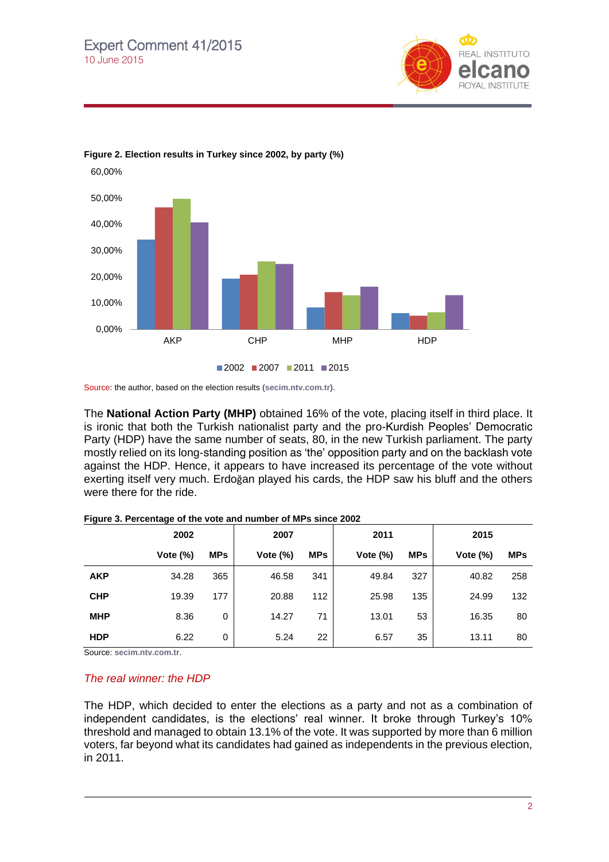





Source: the author, based on the election results (**[secim.ntv.com.tr](http://secim.ntv.com.tr/)**).

The **National Action Party (MHP)** obtained 16% of the vote, placing itself in third place. It is ironic that both the Turkish nationalist party and the pro-Kurdish Peoples' Democratic Party (HDP) have the same number of seats, 80, in the new Turkish parliament. The party mostly relied on its long-standing position as 'the' opposition party and on the backlash vote against the HDP. Hence, it appears to have increased its percentage of the vote without exerting itself very much. Erdoğan played his cards, the HDP saw his bluff and the others were there for the ride.

|            | 2002        |            | 2007        |            | 2011        |            | 2015        |            |
|------------|-------------|------------|-------------|------------|-------------|------------|-------------|------------|
|            | Vote $(\%)$ | <b>MPs</b> | Vote $(\%)$ | <b>MPs</b> | Vote $(\%)$ | <b>MPs</b> | Vote $(\%)$ | <b>MPs</b> |
| <b>AKP</b> | 34.28       | 365        | 46.58       | 341        | 49.84       | 327        | 40.82       | 258        |
| <b>CHP</b> | 19.39       | 177        | 20.88       | 112        | 25.98       | 135        | 24.99       | 132        |
| <b>MHP</b> | 8.36        | 0          | 14.27       | 71         | 13.01       | 53         | 16.35       | 80         |
| <b>HDP</b> | 6.22        | 0          | 5.24        | 22         | 6.57        | 35         | 13.11       | 80         |

**Figure 3. Percentage of the vote and number of MPs since 2002**

Source: **[secim.ntv.com.tr](https://owa.rielcano.org/owa/redir.aspx?SURL=RyAXtHNeVj6Tyo7U5Yv6FRYIx66qjbO3Wp2ooaksUXaUYZ5q0nDSCGgAdAB0AHAAOgAvAC8AcwBlAGMAaQBtAC4AbgB0AHYALgBjAG8AbQAuAHQAcgA.&URL=http%3a%2f%2fsecim.ntv.com.tr)**.

#### *The real winner: the HDP*

The HDP, which decided to enter the elections as a party and not as a combination of independent candidates, is the elections' real winner. It broke through Turkey's 10% threshold and managed to obtain 13.1% of the vote. It was supported by more than 6 million voters, far beyond what its candidates had gained as independents in the previous election, in 2011.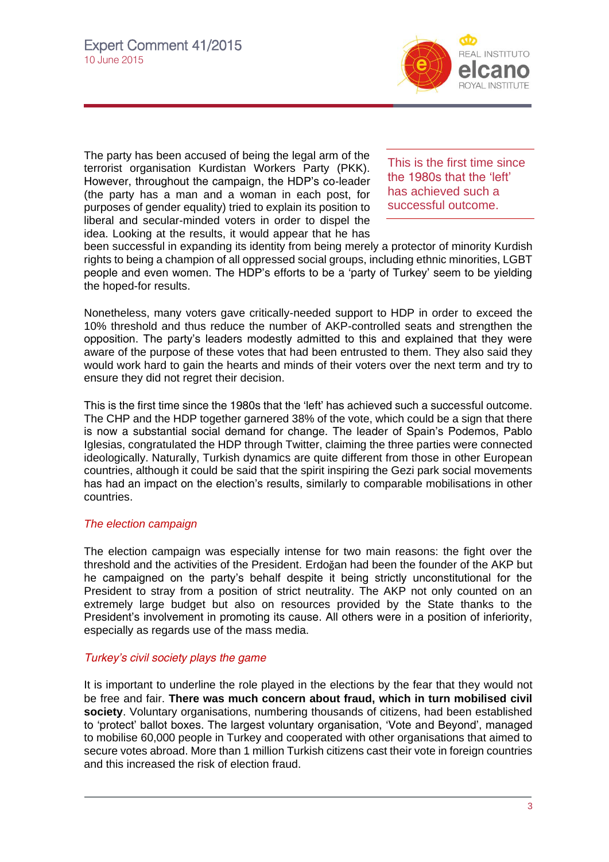

The party has been accused of being the legal arm of the terrorist organisation Kurdistan Workers Party (PKK). However, throughout the campaign, the HDP's co-leader (the party has a man and a woman in each post, for purposes of gender equality) tried to explain its position to liberal and secular-minded voters in order to dispel the idea. Looking at the results, it would appear that he has

This is the first time since the 1980s that the 'left' has achieved such a successful outcome.

been successful in expanding its identity from being merely a protector of minority Kurdish rights to being a champion of all oppressed social groups, including ethnic minorities, LGBT people and even women. The HDP's efforts to be a 'party of Turkey' seem to be yielding the hoped-for results.

Nonetheless, many voters gave critically-needed support to HDP in order to exceed the 10% threshold and thus reduce the number of AKP-controlled seats and strengthen the opposition. The party's leaders modestly admitted to this and explained that they were aware of the purpose of these votes that had been entrusted to them. They also said they would work hard to gain the hearts and minds of their voters over the next term and try to ensure they did not regret their decision.

This is the first time since the 1980s that the 'left' has achieved such a successful outcome. The CHP and the HDP together garnered 38% of the vote, which could be a sign that there is now a substantial social demand for change. The leader of Spain's Podemos, Pablo Iglesias, congratulated the HDP through Twitter, claiming the three parties were connected ideologically. Naturally, Turkish dynamics are quite different from those in other European countries, although it could be said that the spirit inspiring the Gezi park social movements has had an impact on the election's results, similarly to comparable mobilisations in other countries.

## *The election campaign*

The election campaign was especially intense for two main reasons: the fight over the threshold and the activities of the President. Erdoğan had been the founder of the AKP but he campaigned on the party's behalf despite it being strictly unconstitutional for the President to stray from a position of strict neutrality. The AKP not only counted on an extremely large budget but also on resources provided by the State thanks to the President's involvement in promoting its cause. All others were in a position of inferiority, especially as regards use of the mass media.

## *Turkey's civil society plays the game*

It is important to underline the role played in the elections by the fear that they would not be free and fair. **There was much concern about fraud, which in turn mobilised civil society**. Voluntary organisations, numbering thousands of citizens, had been established to 'protect' ballot boxes. The largest voluntary organisation, 'Vote and Beyond', managed to mobilise 60,000 people in Turkey and cooperated with other organisations that aimed to secure votes abroad. More than 1 million Turkish citizens cast their vote in foreign countries and this increased the risk of election fraud.